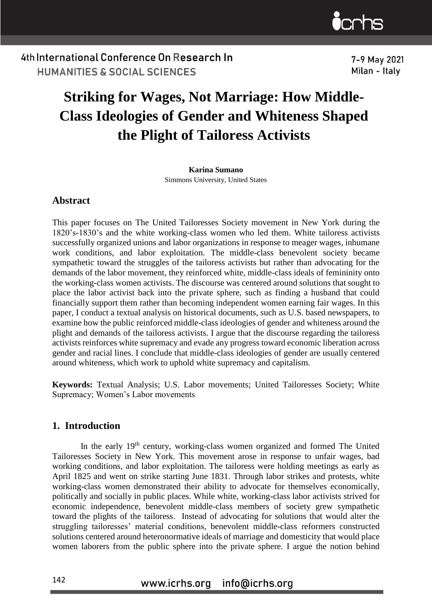

7-9 May 2021 Milan - Italv

## **Striking for Wages, Not Marriage: How Middle-Class Ideologies of Gender and Whiteness Shaped the Plight of Tailoress Activists**

**Karina Sumano** Simmons University, United States

#### **Abstract**

This paper focuses on The United Tailoresses Society movement in New York during the 1820's-1830's and the white working-class women who led them. White tailoress activists successfully organized unions and labor organizations in response to meager wages, inhumane work conditions, and labor exploitation. The middle-class benevolent society became sympathetic toward the struggles of the tailoress activists but rather than advocating for the demands of the labor movement, they reinforced white, middle-class ideals of femininity onto the working-class women activists. The discourse was centered around solutions that sought to place the labor activist back into the private sphere, such as finding a husband that could financially support them rather than becoming independent women earning fair wages. In this paper, I conduct a textual analysis on historical documents, such as U.S. based newspapers, to examine how the public reinforced middle-class ideologies of gender and whiteness around the plight and demands of the tailoress activists. I argue that the discourse regarding the tailoress activists reinforces white supremacy and evade any progress toward economic liberation across gender and racial lines. I conclude that middle-class ideologies of gender are usually centered around whiteness, which work to uphold white supremacy and capitalism.

**Keywords:** Textual Analysis; U.S. Labor movements; United Tailoresses Society; White Supremacy; Women's Labor movements

#### **1. Introduction**

In the early 19<sup>th</sup> century, working-class women organized and formed The United Tailoresses Society in New York. This movement arose in response to unfair wages, bad working conditions, and labor exploitation. The tailoress were holding meetings as early as April 1825 and went on strike starting June 1831. Through labor strikes and protests, white working-class women demonstrated their ability to advocate for themselves economically, politically and socially in public places. While white, working-class labor activists strived for economic independence, benevolent middle-class members of society grew sympathetic toward the plights of the tailoress. Instead of advocating for solutions that would alter the struggling tailoresses' material conditions, benevolent middle-class reformers constructed solutions centered around heteronormative ideals of marriage and domesticity that would place women laborers from the public sphere into the private sphere. I argue the notion behind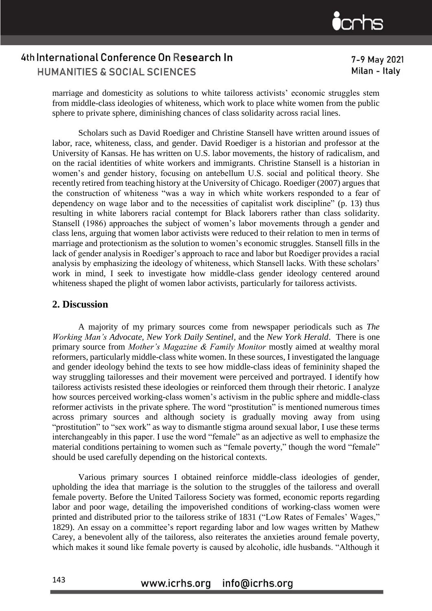7-9 May 2021 Milan - Italv

marriage and domesticity as solutions to white tailoress activists' economic struggles stem from middle-class ideologies of whiteness, which work to place white women from the public sphere to private sphere, diminishing chances of class solidarity across racial lines.

Scholars such as David Roediger and Christine Stansell have written around issues of labor, race, whiteness, class, and gender. David Roediger is a historian and professor at the University of Kansas. He has written on U.S. labor movements, the history of radicalism, and on the racial identities of white workers and immigrants. Christine Stansell is a historian in women's and gender history, focusing on antebellum U.S. social and political theory. She recently retired from teaching history at the University of Chicago. Roediger (2007) argues that the construction of whiteness "was a way in which white workers responded to a fear of dependency on wage labor and to the necessities of capitalist work discipline" (p. 13) thus resulting in white laborers racial contempt for Black laborers rather than class solidarity. Stansell (1986) approaches the subject of women's labor movements through a gender and class lens, arguing that women labor activists were reduced to their relation to men in terms of marriage and protectionism as the solution to women's economic struggles. Stansell fills in the lack of gender analysis in Roediger's approach to race and labor but Roediger provides a racial analysis by emphasizing the ideology of whiteness, which Stansell lacks. With these scholars' work in mind, I seek to investigate how middle-class gender ideology centered around whiteness shaped the plight of women labor activists, particularly for tailoress activists.

#### **2. Discussion**

A majority of my primary sources come from newspaper periodicals such as *The Working Man's Advocate, New York Daily Sentinel,* and the *New York Herald*. There is one primary source from *Mother's Magazine & Family Monitor* mostly aimed at wealthy moral reformers, particularly middle-class white women. In these sources, I investigated the language and gender ideology behind the texts to see how middle-class ideas of femininity shaped the way struggling tailoresses and their movement were perceived and portrayed. I identify how tailoress activists resisted these ideologies or reinforced them through their rhetoric. I analyze how sources perceived working-class women's activism in the public sphere and middle-class reformer activists in the private sphere. The word "prostitution" is mentioned numerous times across primary sources and although society is gradually moving away from using "prostitution" to "sex work" as way to dismantle stigma around sexual labor, I use these terms interchangeably in this paper. I use the word "female" as an adjective as well to emphasize the material conditions pertaining to women such as "female poverty," though the word "female" should be used carefully depending on the historical contexts.

Various primary sources I obtained reinforce middle-class ideologies of gender, upholding the idea that marriage is the solution to the struggles of the tailoress and overall female poverty. Before the United Tailoress Society was formed, economic reports regarding labor and poor wage, detailing the impoverished conditions of working-class women were printed and distributed prior to the tailoress strike of 1831 ("Low Rates of Females' Wages," 1829). An essay on a committee's report regarding labor and low wages written by Mathew Carey, a benevolent ally of the tailoress, also reiterates the anxieties around female poverty, which makes it sound like female poverty is caused by alcoholic, idle husbands. "Although it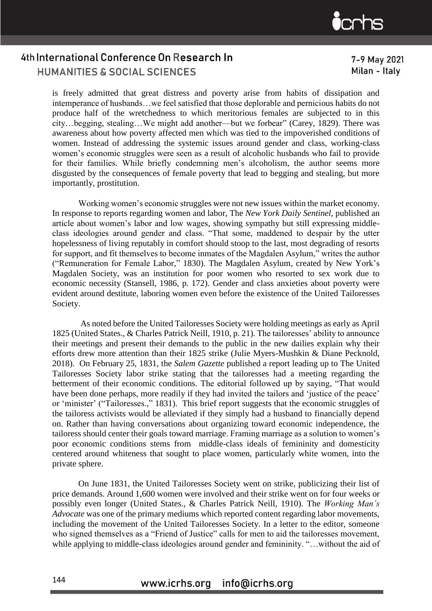7-9 May 2021 Milan - Italv

is freely admitted that great distress and poverty arise from habits of dissipation and intemperance of husbands…we feel satisfied that those deplorable and pernicious habits do not produce half of the wretchedness to which meritorious females are subjected to in this city…begging, stealing…We might add another—but we forbear" (Carey, 1829). There was awareness about how poverty affected men which was tied to the impoverished conditions of women. Instead of addressing the systemic issues around gender and class, working-class women's economic struggles were seen as a result of alcoholic husbands who fail to provide for their families. While briefly condemning men's alcoholism, the author seems more disgusted by the consequences of female poverty that lead to begging and stealing, but more importantly, prostitution.

Working women's economic struggles were not new issues within the market economy. In response to reports regarding women and labor, The *New York Daily Sentinel*, published an article about women's labor and low wages, showing sympathy but still expressing middleclass ideologies around gender and class. "That some, maddened to despair by the utter hopelessness of living reputably in comfort should stoop to the last, most degrading of resorts for support, and fit themselves to become inmates of the Magdalen Asylum," writes the author ("Remuneration for Female Labor," 1830). The Magdalen Asylum, created by New York's Magdalen Society, was an institution for poor women who resorted to sex work due to economic necessity (Stansell, 1986, p. 172). Gender and class anxieties about poverty were evident around destitute, laboring women even before the existence of the United Tailoresses Society.

As noted before the United Tailoresses Society were holding meetings as early as April 1825 (United States., & Charles Patrick Neill, 1910, p. 21). The tailoresses' ability to announce their meetings and present their demands to the public in the new dailies explain why their efforts drew more attention than their 1825 strike (Julie Myers-Mushkin & Diane Pecknold, 2018). On February 25, 1831, the *Salem Gazette* published a report leading up to The United Tailoresses Society labor strike stating that the tailoresses had a meeting regarding the betterment of their economic conditions. The editorial followed up by saying, "That would have been done perhaps, more readily if they had invited the tailors and 'justice of the peace' or 'minister' ("Tailoresses.," 1831). This brief report suggests that the economic struggles of the tailoress activists would be alleviated if they simply had a husband to financially depend on. Rather than having conversations about organizing toward economic independence, the tailoress should center their goals toward marriage. Framing marriage as a solution to women's poor economic conditions stems from middle-class ideals of femininity and domesticity centered around whiteness that sought to place women, particularly white women, into the private sphere.

On June 1831, the United Tailoresses Society went on strike, publicizing their list of price demands. Around 1,600 women were involved and their strike went on for four weeks or possibly even longer (United States., & Charles Patrick Neill*,* 1910). The *Working Man's Advocate* was one of the primary mediums which reported content regarding labor movements, including the movement of the United Tailoresses Society. In a letter to the editor, someone who signed themselves as a "Friend of Justice" calls for men to aid the tailoresses movement, while applying to middle-class ideologies around gender and femininity. "…without the aid of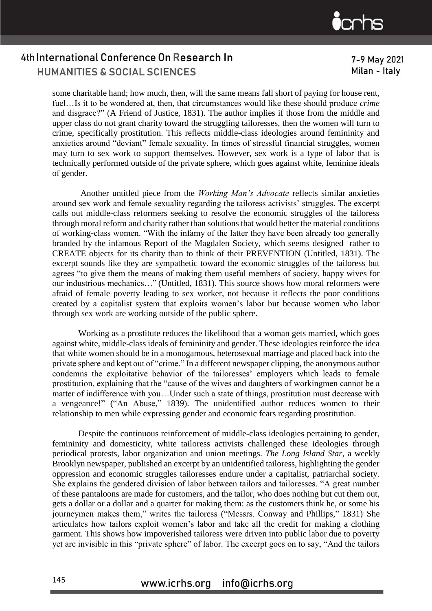7-9 May 2021 Milan - Italv

some charitable hand; how much, then, will the same means fall short of paying for house rent, fuel…Is it to be wondered at, then, that circumstances would like these should produce *crime* and disgrace?" (A Friend of Justice, 1831). The author implies if those from the middle and upper class do not grant charity toward the struggling tailoresses, then the women will turn to crime, specifically prostitution. This reflects middle-class ideologies around femininity and anxieties around "deviant" female sexuality. In times of stressful financial struggles, women may turn to sex work to support themselves. However, sex work is a type of labor that is technically performed outside of the private sphere, which goes against white, feminine ideals of gender.

Another untitled piece from the *Working Man's Advocate* reflects similar anxieties around sex work and female sexuality regarding the tailoress activists' struggles. The excerpt calls out middle-class reformers seeking to resolve the economic struggles of the tailoress through moral reform and charity rather than solutions that would better the material conditions of working-class women. "With the infamy of the latter they have been already too generally branded by the infamous Report of the Magdalen Society, which seems designed rather to CREATE objects for its charity than to think of their PREVENTION (Untitled, 1831). The excerpt sounds like they are sympathetic toward the economic struggles of the tailoress but agrees "to give them the means of making them useful members of society, happy wives for our industrious mechanics…" (Untitled, 1831). This source shows how moral reformers were afraid of female poverty leading to sex worker, not because it reflects the poor conditions created by a capitalist system that exploits women's labor but because women who labor through sex work are working outside of the public sphere.

Working as a prostitute reduces the likelihood that a woman gets married, which goes against white, middle-class ideals of femininity and gender. These ideologies reinforce the idea that white women should be in a monogamous, heterosexual marriage and placed back into the private sphere and kept out of "crime." In a different newspaper clipping, the anonymous author condemns the exploitative behavior of the tailoresses' employers which leads to female prostitution, explaining that the "cause of the wives and daughters of workingmen cannot be a matter of indifference with you…Under such a state of things, prostitution must decrease with a vengeance!" ("An Abuse," 1839). The unidentified author reduces women to their relationship to men while expressing gender and economic fears regarding prostitution.

Despite the continuous reinforcement of middle-class ideologies pertaining to gender, femininity and domesticity, white tailoress activists challenged these ideologies through periodical protests, labor organization and union meetings. *The Long Island Star*, a weekly Brooklyn newspaper, published an excerpt by an unidentified tailoress, highlighting the gender oppression and economic struggles tailoresses endure under a capitalist, patriarchal society. She explains the gendered division of labor between tailors and tailoresses. "A great number of these pantaloons are made for customers, and the tailor, who does nothing but cut them out, gets a dollar or a dollar and a quarter for making them: as the customers think he, or some his journeymen makes them," writes the tailoress ("Messrs. Conway and Phillips," 1831). She articulates how tailors exploit women's labor and take all the credit for making a clothing garment. This shows how impoverished tailoress were driven into public labor due to poverty yet are invisible in this "private sphere" of labor. The excerpt goes on to say, "And the tailors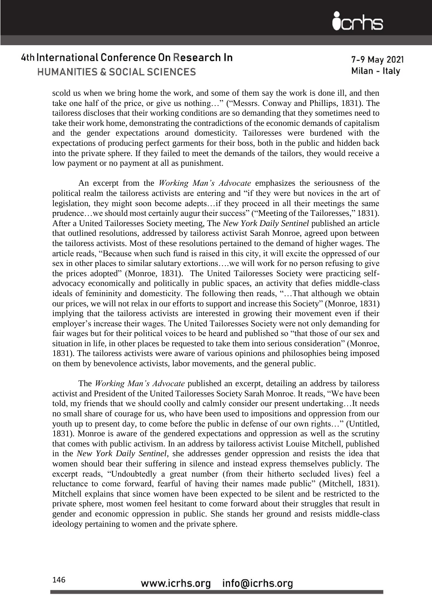7-9 May 2021 Milan - Italv

scold us when we bring home the work, and some of them say the work is done ill, and then take one half of the price, or give us nothing…" ("Messrs. Conway and Phillips, 1831). The tailoress discloses that their working conditions are so demanding that they sometimes need to take their work home, demonstrating the contradictions of the economic demands of capitalism and the gender expectations around domesticity. Tailoresses were burdened with the expectations of producing perfect garments for their boss, both in the public and hidden back into the private sphere. If they failed to meet the demands of the tailors, they would receive a low payment or no payment at all as punishment.

An excerpt from the *Working Man's Advocate* emphasizes the seriousness of the political realm the tailoress activists are entering and "if they were but novices in the art of legislation, they might soon become adepts…if they proceed in all their meetings the same prudence…we should most certainly augur their success" ("Meeting of the Tailoresses," 1831). After a United Tailoresses Society meeting, The *New York Daily Sentinel* published an article that outlined resolutions, addressed by tailoress activist Sarah Monroe, agreed upon between the tailoress activists. Most of these resolutions pertained to the demand of higher wages. The article reads, "Because when such fund is raised in this city, it will excite the oppressed of our sex in other places to similar salutary extortions….we will work for no person refusing to give the prices adopted" (Monroe, 1831). The United Tailoresses Society were practicing selfadvocacy economically and politically in public spaces, an activity that defies middle-class ideals of femininity and domesticity. The following then reads, "…That although we obtain our prices, we will not relax in our efforts to support and increase this Society" (Monroe, 1831) implying that the tailoress activists are interested in growing their movement even if their employer's increase their wages. The United Tailoresses Society were not only demanding for fair wages but for their political voices to be heard and published so "that those of our sex and situation in life, in other places be requested to take them into serious consideration" (Monroe, 1831). The tailoress activists were aware of various opinions and philosophies being imposed on them by benevolence activists, labor movements, and the general public.

The *Working Man's Advocate* published an excerpt, detailing an address by tailoress activist and President of the United Tailoresses Society Sarah Monroe. It reads, "We have been told, my friends that we should coolly and calmly consider our present undertaking…It needs no small share of courage for us, who have been used to impositions and oppression from our youth up to present day, to come before the public in defense of our own rights…" (Untitled, 1831). Monroe is aware of the gendered expectations and oppression as well as the scrutiny that comes with public activism. In an address by tailoress activist Louise Mitchell, published in the *New York Daily Sentinel*, she addresses gender oppression and resists the idea that women should bear their suffering in silence and instead express themselves publicly. The excerpt reads, "Undoubtedly a great number (from their hitherto secluded lives) feel a reluctance to come forward, fearful of having their names made public" (Mitchell, 1831). Mitchell explains that since women have been expected to be silent and be restricted to the private sphere, most women feel hesitant to come forward about their struggles that result in gender and economic oppression in public. She stands her ground and resists middle-class ideology pertaining to women and the private sphere.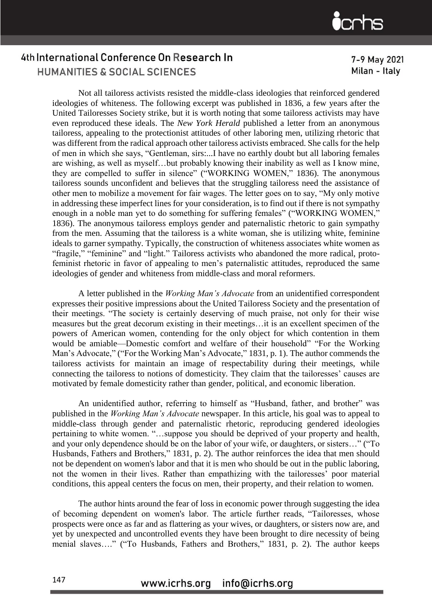#### 7-9 May 2021 Milan - Italv

Not all tailoress activists resisted the middle-class ideologies that reinforced gendered ideologies of whiteness. The following excerpt was published in 1836, a few years after the United Tailoresses Society strike, but it is worth noting that some tailoress activists may have even reproduced these ideals. The *New York Herald* published a letter from an anonymous tailoress, appealing to the protectionist attitudes of other laboring men, utilizing rhetoric that was different from the radical approach other tailoress activists embraced. She calls for the help of men in which she says, "Gentleman, sirs:...I have no earthly doubt but all laboring females are wishing, as well as myself…but probably knowing their inability as well as I know mine, they are compelled to suffer in silence" ("WORKING WOMEN," 1836). The anonymous tailoress sounds unconfident and believes that the struggling tailoress need the assistance of other men to mobilize a movement for fair wages. The letter goes on to say, "My only motive in addressing these imperfect lines for your consideration, is to find out if there is not sympathy enough in a noble man yet to do something for suffering females" ("WORKING WOMEN," 1836). The anonymous tailoress employs gender and paternalistic rhetoric to gain sympathy from the men. Assuming that the tailoress is a white woman, she is utilizing white, feminine ideals to garner sympathy. Typically, the construction of whiteness associates white women as "fragile," "feminine" and "light." Tailoress activists who abandoned the more radical, protofeminist rhetoric in favor of appealing to men's paternalistic attitudes, reproduced the same ideologies of gender and whiteness from middle-class and moral reformers.

A letter published in the *Working Man's Advocate* from an unidentified correspondent expresses their positive impressions about the United Tailoress Society and the presentation of their meetings. "The society is certainly deserving of much praise, not only for their wise measures but the great decorum existing in their meetings…it is an excellent specimen of the powers of American women, contending for the only object for which contention in them would be amiable—Domestic comfort and welfare of their household" "For the Working Man's Advocate," ("For the Working Man's Advocate," 1831, p. 1). The author commends the tailoress activists for maintain an image of respectability during their meetings, while connecting the tailoress to notions of domesticity. They claim that the tailoresses' causes are motivated by female domesticity rather than gender, political, and economic liberation.

An unidentified author, referring to himself as "Husband, father, and brother" was published in the *Working Man's Advocate* newspaper. In this article, his goal was to appeal to middle-class through gender and paternalistic rhetoric, reproducing gendered ideologies pertaining to white women. "…suppose you should be deprived of your property and health, and your only dependence should be on the labor of your wife, or daughters, or sisters…" ("To Husbands, Fathers and Brothers," 1831, p. 2). The author reinforces the idea that men should not be dependent on women's labor and that it is men who should be out in the public laboring, not the women in their lives. Rather than empathizing with the tailoresses' poor material conditions, this appeal centers the focus on men, their property, and their relation to women.

The author hints around the fear of loss in economic power through suggesting the idea of becoming dependent on women's labor. The article further reads, "Tailoresses, whose prospects were once as far and as flattering as your wives, or daughters, or sisters now are, and yet by unexpected and uncontrolled events they have been brought to dire necessity of being menial slaves…." ("To Husbands, Fathers and Brothers," 1831, p. 2). The author keeps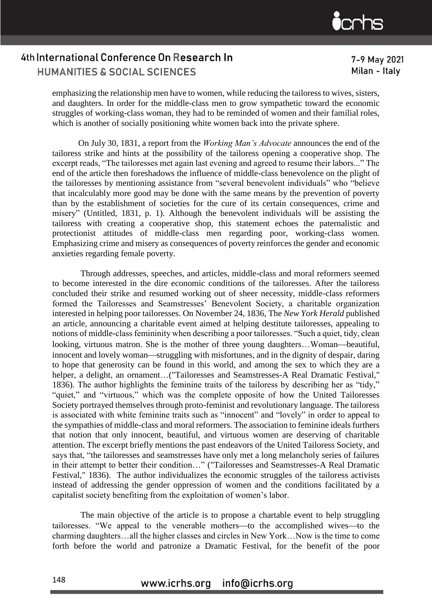7-9 May 2021 Milan - Italv

emphasizing the relationship men have to women, while reducing the tailoress to wives, sisters, and daughters. In order for the middle-class men to grow sympathetic toward the economic struggles of working-class woman, they had to be reminded of women and their familial roles, which is another of socially positioning white women back into the private sphere.

On July 30, 1831, a report from the *Working Man's Advocate* announces the end of the tailoress strike and hints at the possibility of the tailoress opening a cooperative shop. The excerpt reads, "The tailoresses met again last evening and agreed to resume their labors..." The end of the article then foreshadows the influence of middle-class benevolence on the plight of the tailoresses by mentioning assistance from "several benevolent individuals" who "believe that incalculably more good may be done with the same means by the prevention of poverty than by the establishment of societies for the cure of its certain consequences, crime and misery" (Untitled, 1831, p. 1). Although the benevolent individuals will be assisting the tailoress with creating a cooperative shop, this statement echoes the paternalistic and protectionist attitudes of middle-class men regarding poor, working-class women. Emphasizing crime and misery as consequences of poverty reinforces the gender and economic anxieties regarding female poverty.

Through addresses, speeches, and articles, middle-class and moral reformers seemed to become interested in the dire economic conditions of the tailoresses. After the tailoress concluded their strike and resumed working out of sheer necessity, middle-class reformers formed the Tailoresses and Seamstresses' Benevolent Society, a charitable organization interested in helping poor tailoresses. On November 24, 1836, The *New York Herald* published an article, announcing a charitable event aimed at helping destitute tailoresses, appealing to notions of middle-class femininity when describing a poor tailoresses. "Such a quiet, tidy, clean looking, virtuous matron. She is the mother of three young daughters...Woman—beautiful, innocent and lovely woman—struggling with misfortunes, and in the dignity of despair, daring to hope that generosity can be found in this world, and among the sex to which they are a helper, a delight, an ornament...("Tailoresses and Seamstresses-A Real Dramatic Festival," 1836). The author highlights the feminine traits of the tailoress by describing her as "tidy," "quiet," and "virtuous," which was the complete opposite of how the United Tailoresses Society portrayed themselves through proto-feminist and revolutionary language. The tailoress is associated with white feminine traits such as "innocent" and "lovely" in order to appeal to the sympathies of middle-class and moral reformers. The association to feminine ideals furthers that notion that only innocent, beautiful, and virtuous women are deserving of charitable attention. The excerpt briefly mentions the past endeavors of the United Tailoress Society, and says that, "the tailoresses and seamstresses have only met a long melancholy series of failures in their attempt to better their condition…" ("Tailoresses and Seamstresses-A Real Dramatic Festival," 1836). The author individualizes the economic struggles of the tailoress activists instead of addressing the gender oppression of women and the conditions facilitated by a capitalist society benefiting from the exploitation of women's labor.

The main objective of the article is to propose a chartable event to help struggling tailoresses. "We appeal to the venerable mothers-to the accomplished wives-to the charming daughters…all the higher classes and circles in New York…Now is the time to come forth before the world and patronize a Dramatic Festival, for the benefit of the poor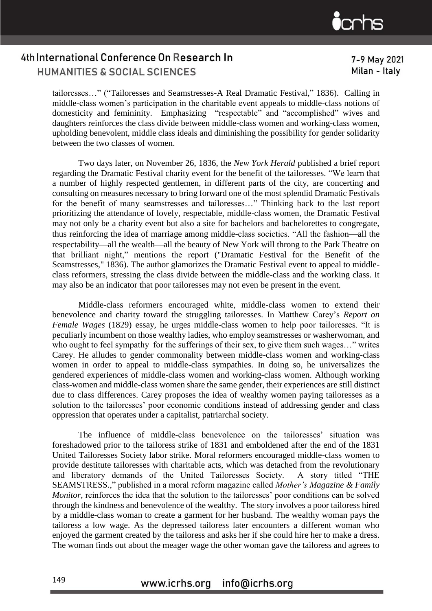tailoresses…" ("Tailoresses and Seamstresses-A Real Dramatic Festival," 1836). Calling in middle-class women's participation in the charitable event appeals to middle-class notions of domesticity and femininity. Emphasizing "respectable" and "accomplished" wives and daughters reinforces the class divide between middle-class women and working-class women, upholding benevolent, middle class ideals and diminishing the possibility for gender solidarity between the two classes of women.

Two days later, on November 26, 1836, the *New York Herald* published a brief report regarding the Dramatic Festival charity event for the benefit of the tailoresses. "We learn that a number of highly respected gentlemen, in different parts of the city, are concerting and consulting on measures necessary to bring forward one of the most splendid Dramatic Festivals for the benefit of many seamstresses and tailoresses…" Thinking back to the last report prioritizing the attendance of lovely, respectable, middle-class women, the Dramatic Festival may not only be a charity event but also a site for bachelors and bachelorettes to congregate, thus reinforcing the idea of marriage among middle-class societies. "All the fashion—all the respectability—all the wealth—all the beauty of New York will throng to the Park Theatre on that brilliant night," mentions the report ("Dramatic Festival for the Benefit of the Seamstresses," 1836). The author glamorizes the Dramatic Festival event to appeal to middleclass reformers, stressing the class divide between the middle-class and the working class. It may also be an indicator that poor tailoresses may not even be present in the event.

Middle-class reformers encouraged white, middle-class women to extend their benevolence and charity toward the struggling tailoresses. In Matthew Carey's *Report on Female Wages* (1829) essay, he urges middle-class women to help poor tailoresses. "It is peculiarly incumbent on those wealthy ladies, who employ seamstresses or washerwoman, and who ought to feel sympathy for the sufferings of their sex, to give them such wages..." writes Carey. He alludes to gender commonality between middle-class women and working-class women in order to appeal to middle-class sympathies. In doing so, he universalizes the gendered experiences of middle-class women and working-class women. Although working class-women and middle-class women share the same gender, their experiences are still distinct due to class differences. Carey proposes the idea of wealthy women paying tailoresses as a solution to the tailoresses' poor economic conditions instead of addressing gender and class oppression that operates under a capitalist, patriarchal society.

The influence of middle-class benevolence on the tailoresses' situation was foreshadowed prior to the tailoress strike of 1831 and emboldened after the end of the 1831 United Tailoresses Society labor strike. Moral reformers encouraged middle-class women to provide destitute tailoresses with charitable acts, which was detached from the revolutionary and liberatory demands of the United Tailoresses Society. A story titled "THE SEAMSTRESS.," published in a moral reform magazine called *Mother's Magazine & Family Monitor*, reinforces the idea that the solution to the tailoresses' poor conditions can be solved through the kindness and benevolence of the wealthy. The story involves a poor tailoress hired by a middle-class woman to create a garment for her husband. The wealthy woman pays the tailoress a low wage. As the depressed tailoress later encounters a different woman who enjoyed the garment created by the tailoress and asks her if she could hire her to make a dress. The woman finds out about the meager wage the other woman gave the tailoress and agrees to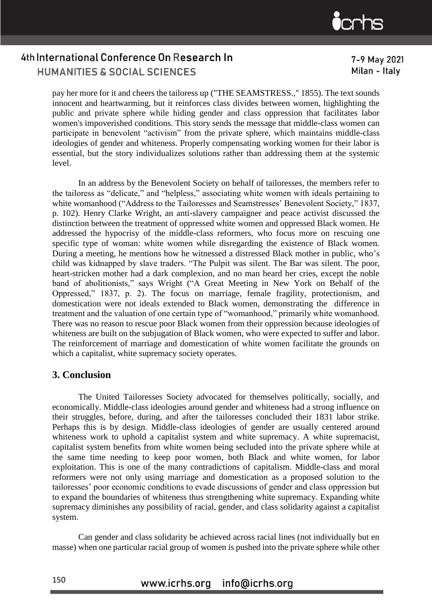pay her more for it and cheers the tailoress up ("THE SEAMSTRESS.," 1855). The text sounds innocent and heartwarming, but it reinforces class divides between women, highlighting the public and private sphere while hiding gender and class oppression that facilitates labor women's impoverished conditions. This story sends the message that middle-class women can participate in benevolent "activism" from the private sphere, which maintains middle-class ideologies of gender and whiteness. Properly compensating working women for their labor is essential, but the story individualizes solutions rather than addressing them at the systemic level.

In an address by the Benevolent Society on behalf of tailoresses, the members refer to the tailoress as "delicate," and "helpless," associating white women with ideals pertaining to white womanhood ("Address to the Tailoresses and Seamstresses' Benevolent Society," 1837, p. 102). Henry Clarke Wright, an anti-slavery campaigner and peace activist discussed the distinction between the treatment of oppressed white women and oppressed Black women. He addressed the hypocrisy of the middle-class reformers, who focus more on rescuing one specific type of woman: white women while disregarding the existence of Black women. During a meeting, he mentions how he witnessed a distressed Black mother in public, who's child was kidnapped by slave traders. "The Pulpit was silent. The Bar was silent. The poor, heart-stricken mother had a dark complexion, and no man heard her cries, except the noble band of abolitionists," says Wright ("A Great Meeting in New York on Behalf of the Oppressed," 1837, p. 2). The focus on marriage, female fragility, protectionism, and domestication were not ideals extended to Black women, demonstrating the difference in treatment and the valuation of one certain type of "womanhood," primarily white womanhood. There was no reason to rescue poor Black women from their oppression because ideologies of whiteness are built on the subjugation of Black women, who were expected to suffer and labor. The reinforcement of marriage and domestication of white women facilitate the grounds on which a capitalist, white supremacy society operates.

#### **3. Conclusion**

The United Tailoresses Society advocated for themselves politically, socially, and economically. Middle-class ideologies around gender and whiteness had a strong influence on their struggles, before, during, and after the tailoresses concluded their 1831 labor strike. Perhaps this is by design. Middle-class ideologies of gender are usually centered around whiteness work to uphold a capitalist system and white supremacy. A white supremacist, capitalist system benefits from white women being secluded into the private sphere while at the same time needing to keep poor women, both Black and white women, for labor exploitation. This is one of the many contradictions of capitalism. Middle-class and moral reformers were not only using marriage and domestication as a proposed solution to the tailoresses' poor economic conditions to evade discussions of gender and class oppression but to expand the boundaries of whiteness thus strengthening white supremacy. Expanding white supremacy diminishes any possibility of racial, gender, and class solidarity against a capitalist system.

Can gender and class solidarity be achieved across racial lines (not individually but en masse) when one particular racial group of women is pushed into the private sphere while other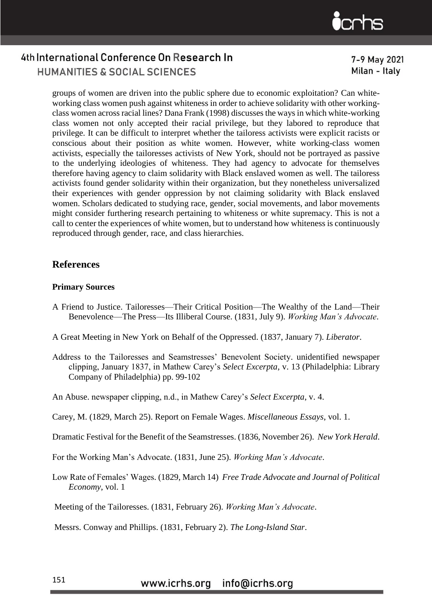

#### 7-9 May 2021 Milan - Italv

groups of women are driven into the public sphere due to economic exploitation? Can whiteworking class women push against whiteness in order to achieve solidarity with other workingclass women across racial lines? Dana Frank (1998) discusses the ways in which white-working class women not only accepted their racial privilege, but they labored to reproduce that privilege. It can be difficult to interpret whether the tailoress activists were explicit racists or conscious about their position as white women. However, white working-class women activists, especially the tailoresses activists of New York, should not be portrayed as passive to the underlying ideologies of whiteness. They had agency to advocate for themselves therefore having agency to claim solidarity with Black enslaved women as well. The tailoress activists found gender solidarity within their organization, but they nonetheless universalized their experiences with gender oppression by not claiming solidarity with Black enslaved women. Scholars dedicated to studying race, gender, social movements, and labor movements might consider furthering research pertaining to whiteness or white supremacy. This is not a call to center the experiences of white women, but to understand how whiteness is continuously reproduced through gender, race, and class hierarchies.

#### **References**

#### **Primary Sources**

- A Friend to Justice. Tailoresses—Their Critical Position—The Wealthy of the Land—Their Benevolence—The Press—Its Illiberal Course. (1831, July 9). *Working Man's Advocate*.
- A Great Meeting in New York on Behalf of the Oppressed. (1837, January 7). *Liberator*.
- Address to the Tailoresses and Seamstresses' Benevolent Society. unidentified newspaper clipping, January 1837, in Mathew Carey's *Select Excerpta*, v. 13 (Philadelphia: Library Company of Philadelphia) pp. 99-102
- An Abuse. newspaper clipping, n.d., in Mathew Carey's *Select Excerpta*, v. 4.
- Carey, M. (1829, March 25). Report on Female Wages. *Miscellaneous Essays*, vol. 1.
- Dramatic Festival for the Benefit of the Seamstresses. (1836, November 26). *New York Herald*.
- For the Working Man's Advocate. (1831, June 25). *Working Man's Advocate*.
- Low Rate of Females' Wages. (1829, March 14) *Free Trade Advocate and Journal of Political Economy*, vol. 1
- Meeting of the Tailoresses. (1831, February 26). *Working Man's Advocate*.

Messrs. Conway and Phillips. (1831, February 2). *The Long-Island Star*.